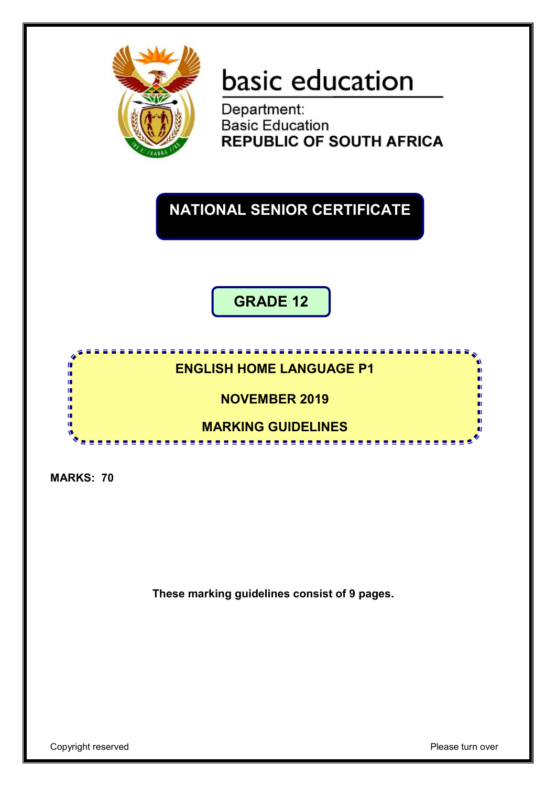

# basic education

Department: **Basic Education<br>REPUBLIC OF SOUTH AFRICA** 

## **NATIONAL SENIOR CERTIFICATE**

**GRADE 12**

### **ENGLISH HOME LANGUAGE P1**

## **NOVEMBER 2019**

#### **MARKING GUIDELINES All All All And**

**College** 

**MARKS: 70**

T 庫 庫 庫 嚧 m пĒ II.

**These marking guidelines consist of 9 pages.**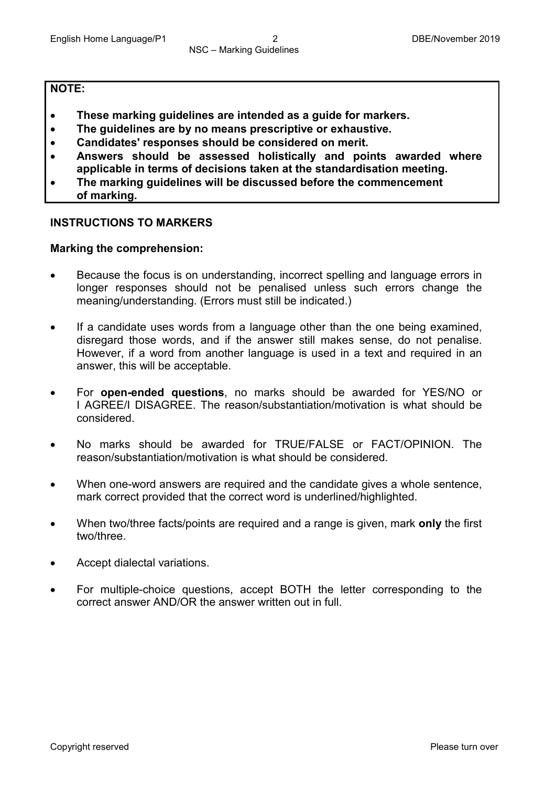#### **NOTE:**

- **These marking guidelines are intended as a guide for markers.**
- **The guidelines are by no means prescriptive or exhaustive.**
- **Candidates' responses should be considered on merit.**
- **Answers should be assessed holistically and points awarded where applicable in terms of decisions taken at the standardisation meeting.**
- **The marking guidelines will be discussed before the commencement of marking.**

#### **INSTRUCTIONS TO MARKERS**

#### **Marking the comprehension:**

- Because the focus is on understanding, incorrect spelling and language errors in longer responses should not be penalised unless such errors change the meaning/understanding. (Errors must still be indicated.)
- If a candidate uses words from a language other than the one being examined, disregard those words, and if the answer still makes sense, do not penalise. However, if a word from another language is used in a text and required in an answer, this will be acceptable.
- For **open-ended questions**, no marks should be awarded for YES/NO or I AGREE/I DISAGREE. The reason/substantiation/motivation is what should be considered.
- No marks should be awarded for TRUE/FALSE or FACT/OPINION. The reason/substantiation/motivation is what should be considered.
- When one-word answers are required and the candidate gives a whole sentence, mark correct provided that the correct word is underlined/highlighted.
- When two/three facts/points are required and a range is given, mark **only** the first two/three.
- Accept dialectal variations.
- For multiple-choice questions, accept BOTH the letter corresponding to the correct answer AND/OR the answer written out in full.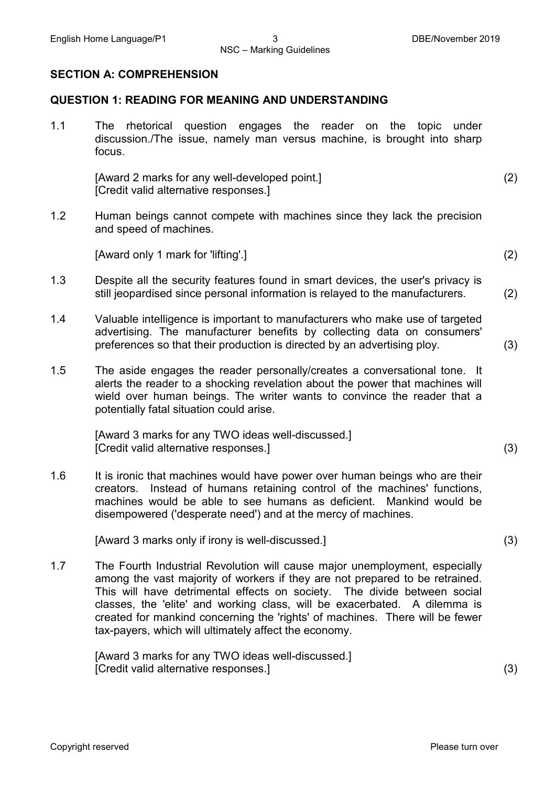#### **SECTION A: COMPREHENSION**

#### **QUESTION 1: READING FOR MEANING AND UNDERSTANDING**

1.1 The rhetorical question engages the reader on the topic under discussion./The issue, namely man versus machine, is brought into sharp focus.

> [Award 2 marks for any well-developed point.] [Credit valid alternative responses.] (2)

1.2 Human beings cannot compete with machines since they lack the precision and speed of machines.

[Award only 1 mark for 'lifting'.] (2)

- 1.3 Despite all the security features found in smart devices, the user's privacy is still jeopardised since personal information is relayed to the manufacturers. (2)
- 1.4 Valuable intelligence is important to manufacturers who make use of targeted advertising. The manufacturer benefits by collecting data on consumers' preferences so that their production is directed by an advertising ploy. (3)
- 1.5 The aside engages the reader personally/creates a conversational tone. It alerts the reader to a shocking revelation about the power that machines will wield over human beings. The writer wants to convince the reader that a potentially fatal situation could arise.

[Award 3 marks for any TWO ideas well-discussed.] [Credit valid alternative responses.] (3)

1.6 It is ironic that machines would have power over human beings who are their creators. Instead of humans retaining control of the machines' functions, machines would be able to see humans as deficient. Mankind would be disempowered ('desperate need') and at the mercy of machines.

[Award 3 marks only if irony is well-discussed.] (3)

1.7 The Fourth Industrial Revolution will cause major unemployment, especially among the vast majority of workers if they are not prepared to be retrained. This will have detrimental effects on society. The divide between social classes, the 'elite' and working class, will be exacerbated. A dilemma is created for mankind concerning the 'rights' of machines. There will be fewer tax-payers, which will ultimately affect the economy.

> [Award 3 marks for any TWO ideas well-discussed.] [Credit valid alternative responses.] (3)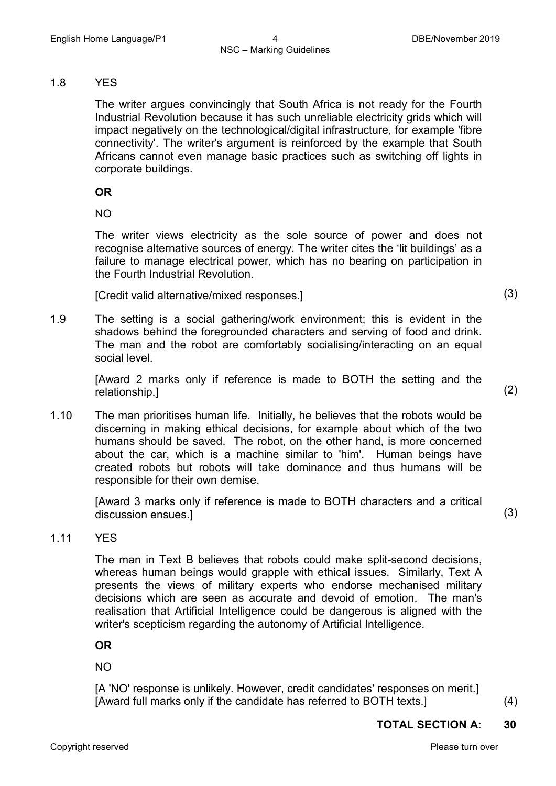#### 1.8 YES

The writer argues convincingly that South Africa is not ready for the Fourth Industrial Revolution because it has such unreliable electricity grids which will impact negatively on the technological/digital infrastructure, for example 'fibre connectivity'. The writer's argument is reinforced by the example that South Africans cannot even manage basic practices such as switching off lights in corporate buildings.

#### **OR**

NO

The writer views electricity as the sole source of power and does not recognise alternative sources of energy. The writer cites the 'lit buildings' as a failure to manage electrical power, which has no bearing on participation in the Fourth Industrial Revolution.

[Credit valid alternative/mixed responses.] (3)

1.9 The setting is a social gathering/work environment; this is evident in the shadows behind the foregrounded characters and serving of food and drink. The man and the robot are comfortably socialising/interacting on an equal social level.

[Award 2 marks only if reference is made to BOTH the setting and the relationship.] (2)

1.10 The man prioritises human life. Initially, he believes that the robots would be discerning in making ethical decisions, for example about which of the two humans should be saved. The robot, on the other hand, is more concerned about the car, which is a machine similar to 'him'. Human beings have created robots but robots will take dominance and thus humans will be responsible for their own demise.

[Award 3 marks only if reference is made to BOTH characters and a critical discussion ensues.]<sup>(3)</sup>

#### 1.11 YES

The man in Text B believes that robots could make split-second decisions, whereas human beings would grapple with ethical issues. Similarly, Text A presents the views of military experts who endorse mechanised military decisions which are seen as accurate and devoid of emotion. The man's realisation that Artificial Intelligence could be dangerous is aligned with the writer's scepticism regarding the autonomy of Artificial Intelligence.

**OR**

NO

[A 'NO' response is unlikely. However, credit candidates' responses on merit.] [Award full marks only if the candidate has referred to BOTH texts.] (4)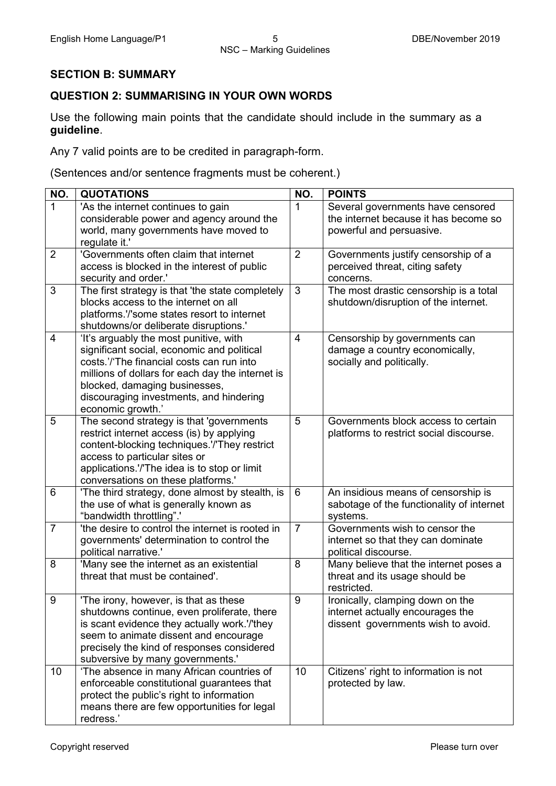#### **SECTION B: SUMMARY**

#### **QUESTION 2: SUMMARISING IN YOUR OWN WORDS**

Use the following main points that the candidate should include in the summary as a **guideline**.

Any 7 valid points are to be credited in paragraph-form.

(Sentences and/or sentence fragments must be coherent.)

| NO.            | <b>QUOTATIONS</b>                                                                        | NO.            | <b>POINTS</b>                                                                    |
|----------------|------------------------------------------------------------------------------------------|----------------|----------------------------------------------------------------------------------|
| 1              | 'As the internet continues to gain                                                       | 1              | Several governments have censored                                                |
|                | considerable power and agency around the                                                 |                | the internet because it has become so                                            |
|                | world, many governments have moved to<br>regulate it.'                                   |                | powerful and persuasive.                                                         |
| $\overline{2}$ | 'Governments often claim that internet                                                   | 2              | Governments justify censorship of a                                              |
|                | access is blocked in the interest of public                                              |                | perceived threat, citing safety                                                  |
|                | security and order.'                                                                     |                | concerns.                                                                        |
| 3              | The first strategy is that 'the state completely                                         | 3              | The most drastic censorship is a total                                           |
|                | blocks access to the internet on all                                                     |                | shutdown/disruption of the internet.                                             |
|                | platforms.'/'some states resort to internet                                              |                |                                                                                  |
|                | shutdowns/or deliberate disruptions.'                                                    |                |                                                                                  |
| $\overline{4}$ | 'It's arguably the most punitive, with                                                   | $\overline{4}$ | Censorship by governments can                                                    |
|                | significant social, economic and political                                               |                | damage a country economically,                                                   |
|                | costs.'/'The financial costs can run into                                                |                | socially and politically.                                                        |
|                | millions of dollars for each day the internet is<br>blocked, damaging businesses,        |                |                                                                                  |
|                | discouraging investments, and hindering                                                  |                |                                                                                  |
|                | economic growth.'                                                                        |                |                                                                                  |
| 5              | The second strategy is that 'governments                                                 | 5              | Governments block access to certain                                              |
|                | restrict internet access (is) by applying                                                |                | platforms to restrict social discourse.                                          |
|                | content-blocking techniques.'/'They restrict                                             |                |                                                                                  |
|                | access to particular sites or                                                            |                |                                                                                  |
|                | applications.'/'The idea is to stop or limit                                             |                |                                                                                  |
|                | conversations on these platforms.'                                                       |                |                                                                                  |
| 6              | 'The third strategy, done almost by stealth, is<br>the use of what is generally known as | 6              | An insidious means of censorship is<br>sabotage of the functionality of internet |
|                | "bandwidth throttling"."                                                                 |                | systems.                                                                         |
| $\overline{7}$ | 'the desire to control the internet is rooted in                                         | $\overline{7}$ | Governments wish to censor the                                                   |
|                | governments' determination to control the                                                |                | internet so that they can dominate                                               |
|                | political narrative.'                                                                    |                | political discourse.                                                             |
| 8              | 'Many see the internet as an existential                                                 | 8              | Many believe that the internet poses a                                           |
|                | threat that must be contained'.                                                          |                | threat and its usage should be                                                   |
|                |                                                                                          |                | restricted.                                                                      |
| 9              | 'The irony, however, is that as these                                                    | 9              | Ironically, clamping down on the                                                 |
|                | shutdowns continue, even proliferate, there                                              |                | internet actually encourages the                                                 |
|                | is scant evidence they actually work.'/'they<br>seem to animate dissent and encourage    |                | dissent governments wish to avoid.                                               |
|                | precisely the kind of responses considered                                               |                |                                                                                  |
|                | subversive by many governments.'                                                         |                |                                                                                  |
| 10             | 'The absence in many African countries of                                                | 10             | Citizens' right to information is not                                            |
|                | enforceable constitutional guarantees that                                               |                | protected by law.                                                                |
|                | protect the public's right to information                                                |                |                                                                                  |
|                | means there are few opportunities for legal                                              |                |                                                                                  |
|                | redress.'                                                                                |                |                                                                                  |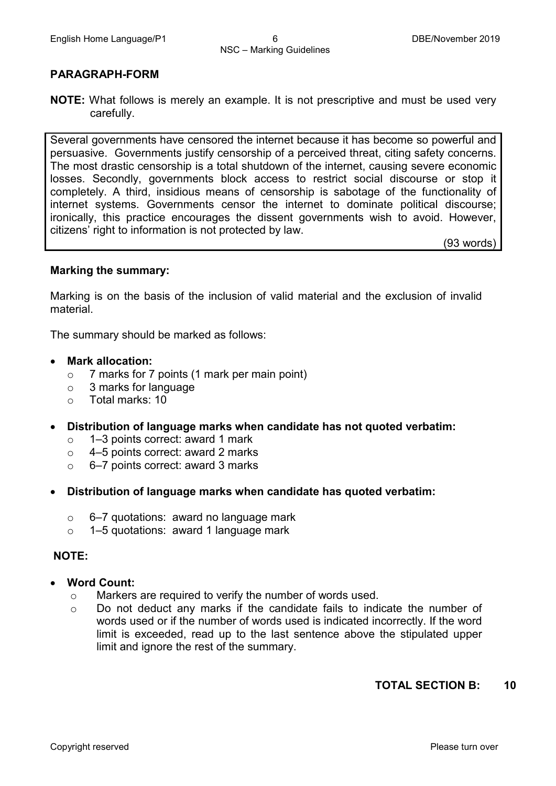#### **PARAGRAPH-FORM**

**NOTE:** What follows is merely an example. It is not prescriptive and must be used very carefully.

Several governments have censored the internet because it has become so powerful and persuasive. Governments justify censorship of a perceived threat, citing safety concerns. The most drastic censorship is a total shutdown of the internet, causing severe economic losses. Secondly, governments block access to restrict social discourse or stop it completely. A third, insidious means of censorship is sabotage of the functionality of internet systems. Governments censor the internet to dominate political discourse; ironically, this practice encourages the dissent governments wish to avoid. However, citizens' right to information is not protected by law.

(93 words)

#### **Marking the summary:**

Marking is on the basis of the inclusion of valid material and the exclusion of invalid material.

The summary should be marked as follows:

#### • **Mark allocation:**

- $\circ$  7 marks for 7 points (1 mark per main point)
- o 3 marks for language
- o Total marks: 10
- **Distribution of language marks when candidate has not quoted verbatim:**
	- o 1–3 points correct: award 1 mark<br>○ 4–5 points correct: award 2 marks
	- 4–5 points correct: award 2 marks
	- o 6–7 points correct: award 3 marks
- **Distribution of language marks when candidate has quoted verbatim:**
	- $\circ$  6–7 quotations: award no language mark
	- o 1–5 quotations: award 1 language mark

#### **NOTE:**

- **Word Count:**
	- o Markers are required to verify the number of words used.
	- o Do not deduct any marks if the candidate fails to indicate the number of words used or if the number of words used is indicated incorrectly. If the word limit is exceeded, read up to the last sentence above the stipulated upper limit and ignore the rest of the summary.

#### **TOTAL SECTION B: 10**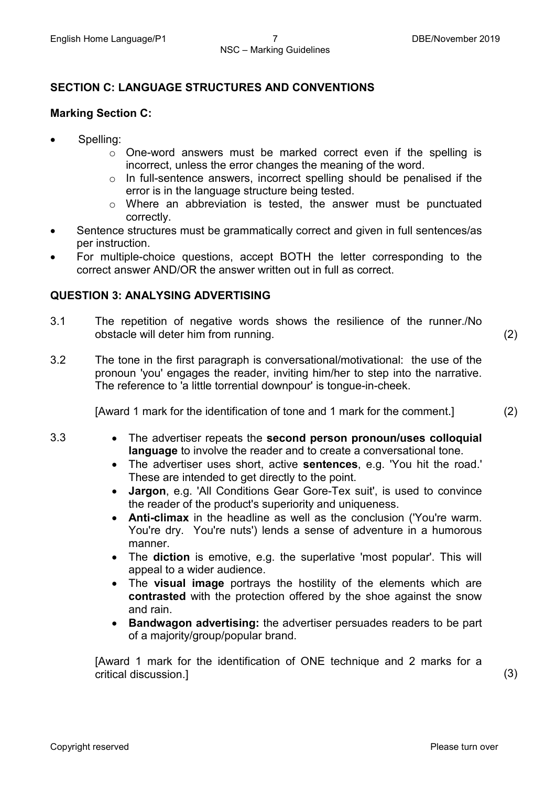#### **SECTION C: LANGUAGE STRUCTURES AND CONVENTIONS**

#### **Marking Section C:**

- Spelling:
	- $\circ$  One-word answers must be marked correct even if the spelling is incorrect, unless the error changes the meaning of the word.
	- o In full-sentence answers, incorrect spelling should be penalised if the error is in the language structure being tested.
	- o Where an abbreviation is tested, the answer must be punctuated correctly.
- Sentence structures must be grammatically correct and given in full sentences/as per instruction.
- For multiple-choice questions, accept BOTH the letter corresponding to the correct answer AND/OR the answer written out in full as correct.

#### **QUESTION 3: ANALYSING ADVERTISING**

3.1 The repetition of negative words shows the resilience of the runner./No obstacle will deter him from running. (2)

3.2 The tone in the first paragraph is conversational/motivational: the use of the pronoun 'you' engages the reader, inviting him/her to step into the narrative. The reference to 'a little torrential downpour' is tongue-in-cheek.

[Award 1 mark for the identification of tone and 1 mark for the comment.] (2)

- 
- 3.3 The advertiser repeats the **second person pronoun/uses colloquial language** to involve the reader and to create a conversational tone.
	- The advertiser uses short, active **sentences**, e.g. 'You hit the road.' These are intended to get directly to the point.
	- **Jargon**, e.g. 'All Conditions Gear Gore-Tex suit', is used to convince the reader of the product's superiority and uniqueness.
	- **Anti-climax** in the headline as well as the conclusion ('You're warm. You're dry. You're nuts') lends a sense of adventure in a humorous manner.
	- The **diction** is emotive, e.g. the superlative 'most popular'. This will appeal to a wider audience.
	- The **visual image** portrays the hostility of the elements which are **contrasted** with the protection offered by the shoe against the snow and rain.
	- **Bandwagon advertising:** the advertiser persuades readers to be part of a majority/group/popular brand.

[Award 1 mark for the identification of ONE technique and 2 marks for a critical discussion.] (3)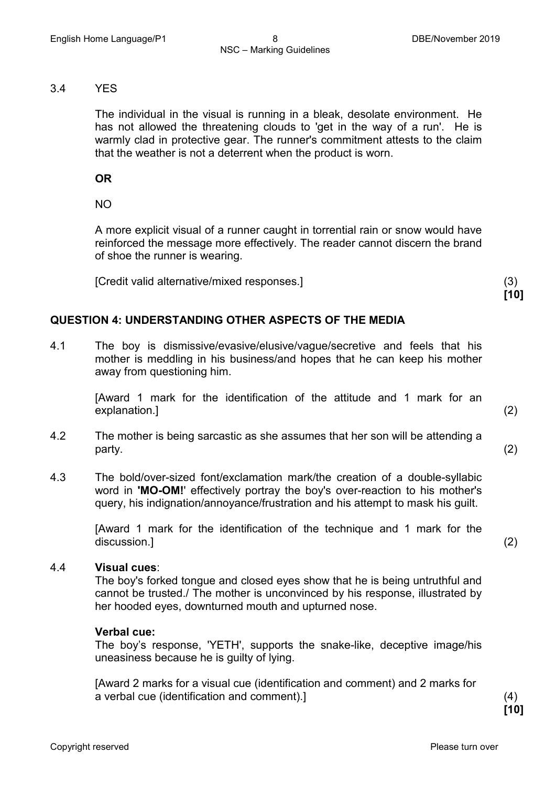#### 3.4 YES

The individual in the visual is running in a bleak, desolate environment. He has not allowed the threatening clouds to 'get in the way of a run'. He is warmly clad in protective gear. The runner's commitment attests to the claim that the weather is not a deterrent when the product is worn.

**OR**

NO

A more explicit visual of a runner caught in torrential rain or snow would have reinforced the message more effectively. The reader cannot discern the brand of shoe the runner is wearing.

[Credit valid alternative/mixed responses.] (3)

#### **QUESTION 4: UNDERSTANDING OTHER ASPECTS OF THE MEDIA**

4.1 The boy is dismissive/evasive/elusive/vague/secretive and feels that his mother is meddling in his business/and hopes that he can keep his mother away from questioning him.

> [Award 1 mark for the identification of the attitude and 1 mark for an explanation.] (2)

- 4.2 The mother is being sarcastic as she assumes that her son will be attending a  $party.$  (2)
- 4.3 The bold/over-sized font/exclamation mark/the creation of a double-syllabic word in **'MO-OM!**' effectively portray the boy's over-reaction to his mother's query, his indignation/annoyance/frustration and his attempt to mask his guilt.

[Award 1 mark for the identification of the technique and 1 mark for the discussion.] (2)

#### 4.4 **Visual cues**:

The boy's forked tongue and closed eyes show that he is being untruthful and cannot be trusted./ The mother is unconvinced by his response, illustrated by her hooded eyes, downturned mouth and upturned nose.

#### **Verbal cue:**

The boy's response, 'YETH', supports the snake-like, deceptive image/his uneasiness because he is guilty of lying.

[Award 2 marks for a visual cue (identification and comment) and 2 marks for a verbal cue (identification and comment).] (4)

**[10]**

**[10]**